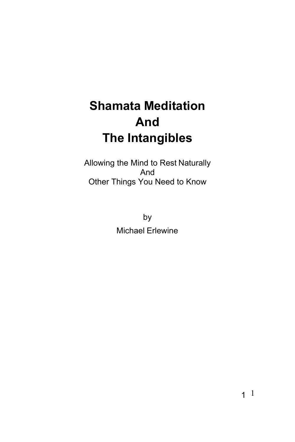# **Shamata Meditation And The Intangibles**

Allowing the Mind to Rest Naturally And Other Things You Need to Know

> by Michael Erlewine

> > 1 1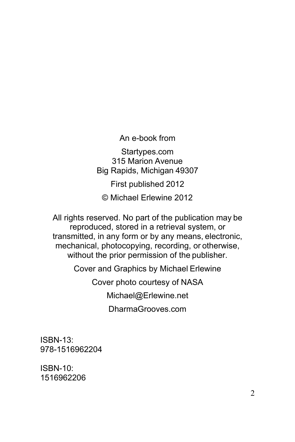An e-book from

Startypes.com 315 Marion Avenue Big Rapids, Michigan 49307

First published 2012

© Michael Erlewine 2012

All rights reserved. No part of the publication may be reproduced, stored in a retrieval system, or transmitted, in any form or by any means, electronic, mechanical, photocopying, recording, or otherwise, without the prior permission of the publisher.

Cover and Graphics by Michael Erlewine

Cover photo courtesy of NAS[A](mailto:Michael@Erlewine.net)

[Michael@Erlewine.net](mailto:Michael@Erlewine.net)

DharmaGrooves.com

ISBN-13: 978-1516962204

ISBN-10: 1516962206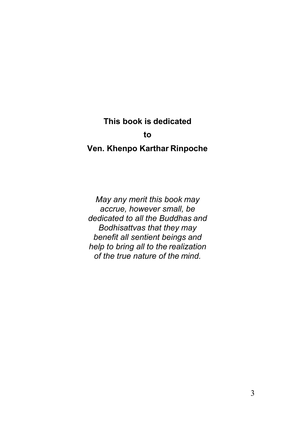#### **This book is dedicated**

#### **to**

#### <span id="page-2-0"></span>**Ven. Khenpo Karthar Rinpoche**

*May any merit this book may accrue, however small, be dedicated to all the Buddhas and Bodhisattvas that they may benefit all sentient beings and help to bring all to the realization of the true nature of the mind.*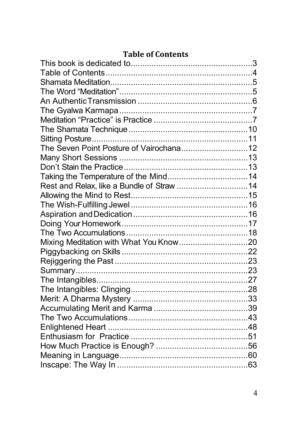#### **Table of Contents**

<span id="page-3-0"></span>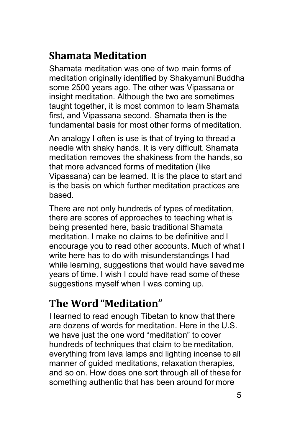## <span id="page-4-0"></span>**Shamata Meditation**

Shamata meditation was one of two main forms of meditation originally identified by Shakyamuni Buddha some 2500 years ago. The other was Vipassana or insight meditation. Although the two are sometimes taught together, it is most common to learn Shamata first, and Vipassana second. Shamata then is the fundamental basis for most other forms of meditation.

An analogy I often is use is that of trying to thread a needle with shaky hands. It is very difficult. Shamata meditation removes the shakiness from the hands, so that more advanced forms of meditation (like Vipassana) can be learned. It is the place to start and is the basis on which further meditation practices are based.

There are not only hundreds of types of meditation, there are scores of approaches to teaching what is being presented here, basic traditional Shamata meditation. I make no claims to be definitive and I encourage you to read other accounts. Much of what I write here has to do with misunderstandings I had while learning, suggestions that would have saved me years of time. I wish I could have read some of these suggestions myself when I was coming up.

## <span id="page-4-1"></span>**The Word "Meditation"**

I learned to read enough Tibetan to know that there are dozens of words for meditation. Here in the U.S. we have just the one word "meditation" to cover hundreds of techniques that claim to be meditation, everything from lava lamps and lighting incense to all manner of guided meditations, relaxation therapies, and so on. How does one sort through all of these for something authentic that has been around for more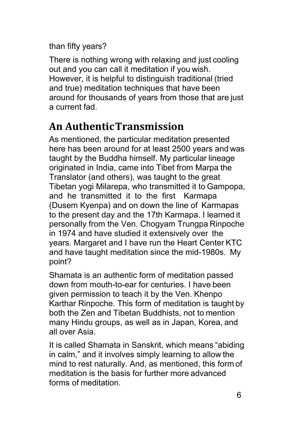than fifty years?

There is nothing wrong with relaxing and just cooling out and you can call it meditation if you wish. However, it is helpful to distinguish traditional (tried and true) meditation techniques that have been around for thousands of years from those that are just a current fad.

## <span id="page-5-0"></span>**An AuthenticTransmission**

As mentioned, the particular meditation presented here has been around for at least 2500 years and was taught by the Buddha himself. My particular lineage originated in India, came into Tibet from Marpa the Translator (and others), was taught to the great Tibetan yogi Milarepa, who transmitted it to Gampopa, and he transmitted it to the first Karmapa (Dusem Kyenpa) and on down the line of Karmapas to the present day and the 17th Karmapa. I learned it personally from the Ven. Chogyam Trungpa Rinpoche in 1974 and have studied it extensively over the years. Margaret and I have run the Heart Center KTC and have taught meditation since the mid-1980s. My point?

Shamata is an authentic form of meditation passed down from mouth-to-ear for centuries. I have been given permission to teach it by the Ven. Khenpo Karthar Rinpoche. This form of meditation is taught by both the Zen and Tibetan Buddhists, not to mention many Hindu groups, as well as in Japan, Korea, and all over Asia.

It is called Shamata in Sanskrit, which means "abiding in calm," and it involves simply learning to allow the mind to rest naturally. And, as mentioned, this form of meditation is the basis for further more advanced forms of meditation.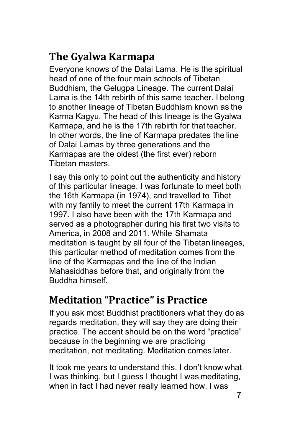## <span id="page-6-0"></span>**The Gyalwa Karmapa**

Everyone knows of the Dalai Lama. He is the spiritual head of one of the four main schools of Tibetan Buddhism, the Gelugpa Lineage. The current Dalai Lama is the 14th rebirth of this same teacher. I belong to another lineage of Tibetan Buddhism known as the Karma Kagyu. The head of this lineage is the Gyalwa Karmapa, and he is the 17th rebirth for that teacher. In other words, the line of Karmapa predates the line of Dalai Lamas by three generations and the Karmapas are the oldest (the first ever) reborn Tibetan masters.

I say this only to point out the authenticity and history of this particular lineage. I was fortunate to meet both the 16th Karmapa (in 1974), and travelled to Tibet with my family to meet the current 17th Karmapa in 1997. I also have been with the 17th Karmapa and served as a photographer during his first two visits to America, in 2008 and 2011. While Shamata meditation is taught by all four of the Tibetan lineages, this particular method of meditation comes from the line of the Karmapas and the line of the Indian Mahasiddhas before that, and originally from the Buddha himself.

## <span id="page-6-1"></span>**Meditation "Practice" is Practice**

If you ask most Buddhist practitioners what they do as regards meditation, they will say they are doing their practice. The accent should be on the word "practice" because in the beginning we are practicing meditation, not meditating. Meditation comes later.

It took me years to understand this. I don't know what I was thinking, but I guess I thought I was meditating, when in fact I had never really learned how. I was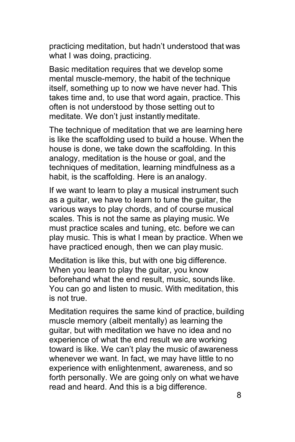practicing meditation, but hadn't understood that was what I was doing, practicing.

Basic meditation requires that we develop some mental muscle-memory, the habit of the technique itself, something up to now we have never had. This takes time and, to use that word again, practice. This often is not understood by those setting out to meditate. We don't just instantly meditate.

The technique of meditation that we are learning here is like the scaffolding used to build a house. When the house is done, we take down the scaffolding. In this analogy, meditation is the house or goal, and the techniques of meditation, learning mindfulness as a habit, is the scaffolding. Here is an analogy.

If we want to learn to play a musical instrument such as a guitar, we have to learn to tune the guitar, the various ways to play chords, and of course musical scales. This is not the same as playing music. We must practice scales and tuning, etc. before we can play music. This is what I mean by practice. When we have practiced enough, then we can play music.

Meditation is like this, but with one big difference. When you learn to play the guitar, you know beforehand what the end result, music, sounds like. You can go and listen to music. With meditation, this is not true.

Meditation requires the same kind of practice, building muscle memory (albeit mentally) as learning the guitar, but with meditation we have no idea and no experience of what the end result we are working toward is like. We can't play the music of awareness whenever we want. In fact, we may have little to no experience with enlightenment, awareness, and so forth personally. We are going only on what wehave read and heard. And this is a big difference.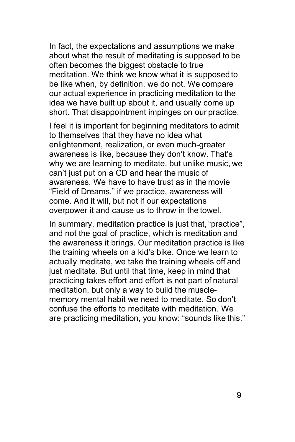In fact, the expectations and assumptions we make about what the result of meditating is supposed to be often becomes the biggest obstacle to true meditation. We think we know what it is supposed to be like when, by definition, we do not. We compare our actual experience in practicing meditation to the idea we have built up about it, and usually come up short. That disappointment impinges on our practice.

I feel it is important for beginning meditators to admit to themselves that they have no idea what enlightenment, realization, or even much-greater awareness is like, because they don't know. That's why we are learning to meditate, but unlike music, we can't just put on a CD and hear the music of awareness. We have to have trust as in the movie "Field of Dreams," if we practice, awareness will come. And it will, but not if our expectations overpower it and cause us to throw in the towel.

In summary, meditation practice is just that, "practice", and not the goal of practice, which is meditation and the awareness it brings. Our meditation practice is like the training wheels on a kid's bike. Once we learn to actually meditate, we take the training wheels off and just meditate. But until that time, keep in mind that practicing takes effort and effort is not part of natural meditation, but only a way to build the musclememory mental habit we need to meditate. So don't confuse the efforts to meditate with meditation. We are practicing meditation, you know: "sounds like this."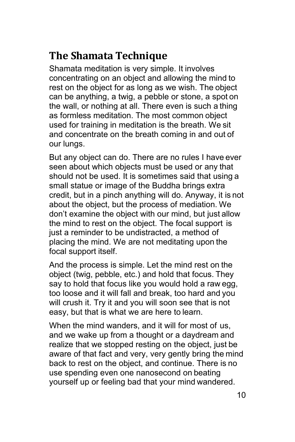## <span id="page-9-0"></span>**The Shamata Technique**

Shamata meditation is very simple. It involves concentrating on an object and allowing the mind to rest on the object for as long as we wish. The object can be anything, a twig, a pebble or stone, a spot on the wall, or nothing at all. There even is such a thing as formless meditation. The most common object used for training in meditation is the breath. We sit and concentrate on the breath coming in and out of our lungs.

But any object can do. There are no rules I have ever seen about which objects must be used or any that should not be used. It is sometimes said that using a small statue or image of the Buddha brings extra credit, but in a pinch anything will do. Anyway, it is not about the object, but the process of mediation. We don't examine the object with our mind, but just allow the mind to rest on the object. The focal support is just a reminder to be undistracted, a method of placing the mind. We are not meditating upon the focal support itself.

And the process is simple. Let the mind rest on the object (twig, pebble, etc.) and hold that focus. They say to hold that focus like you would hold a raw egg, too loose and it will fall and break, too hard and you will crush it. Try it and you will soon see that is not easy, but that is what we are here to learn.

When the mind wanders, and it will for most of us. and we wake up from a thought or a daydream and realize that we stopped resting on the object, just be aware of that fact and very, very gently bring the mind back to rest on the object, and continue. There is no use spending even one nanosecond on beating yourself up or feeling bad that your mind wandered.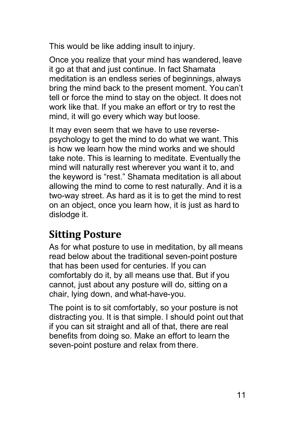This would be like adding insult to injury.

Once you realize that your mind has wandered, leave it go at that and just continue. In fact Shamata meditation is an endless series of beginnings, always bring the mind back to the present moment. You can't tell or force the mind to stay on the object. It does not work like that. If you make an effort or try to rest the mind, it will go every which way but loose.

It may even seem that we have to use reversepsychology to get the mind to do what we want. This is how we learn how the mind works and we should take note. This is learning to meditate. Eventually the mind will naturally rest wherever you want it to, and the keyword is "rest." Shamata meditation is all about allowing the mind to come to rest naturally. And it is a two-way street. As hard as it is to get the mind to rest on an object, once you learn how, it is just as hard to dislodge it.

#### <span id="page-10-0"></span>**Sitting Posture**

As for what posture to use in meditation, by all means read below about the traditional seven-point posture that has been used for centuries. If you can comfortably do it, by all means use that. But if you cannot, just about any posture will do, sitting on a chair, lying down, and what-have-you.

The point is to sit comfortably, so your posture is not distracting you. It is that simple. I should point out that if you can sit straight and all of that, there are real benefits from doing so. Make an effort to learn the seven-point posture and relax from there.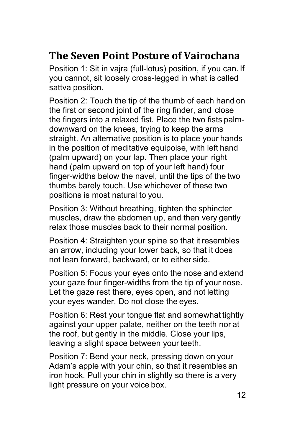## <span id="page-11-0"></span>**The Seven Point Posture of Vairochana**

Position 1: Sit in vajra (full-lotus) position, if you can. If you cannot, sit loosely cross-legged in what is called sattva position.

Position 2: Touch the tip of the thumb of each hand on the first or second joint of the ring finder, and close the fingers into a relaxed fist. Place the two fists palmdownward on the knees, trying to keep the arms straight. An alternative position is to place your hands in the position of meditative equipoise, with left hand (palm upward) on your lap. Then place your right hand (palm upward on top of your left hand) four finger-widths below the navel, until the tips of the two thumbs barely touch. Use whichever of these two positions is most natural to you.

Position 3: Without breathing, tighten the sphincter muscles, draw the abdomen up, and then very gently relax those muscles back to their normal position.

Position 4: Straighten your spine so that it resembles an arrow, including your lower back, so that it does not lean forward, backward, or to either side.

Position 5: Focus your eyes onto the nose and extend your gaze four finger-widths from the tip of your nose. Let the gaze rest there, eyes open, and not letting your eyes wander. Do not close the eyes.

Position 6: Rest your tongue flat and somewhat tightly against your upper palate, neither on the teeth nor at the roof, but gently in the middle. Close your lips, leaving a slight space between your teeth.

Position 7: Bend your neck, pressing down on your Adam's apple with your chin, so that it resembles an iron hook. Pull your chin in slightly so there is a very light pressure on your voice box.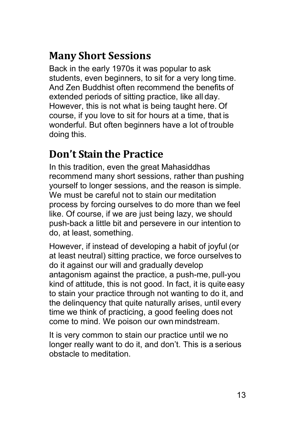## <span id="page-12-0"></span>**Many Short Sessions**

Back in the early 1970s it was popular to ask students, even beginners, to sit for a very long time. And Zen Buddhist often recommend the benefits of extended periods of sitting practice, like all day. However, this is not what is being taught here. Of course, if you love to sit for hours at a time, that is wonderful. But often beginners have a lot of trouble doing this.

## <span id="page-12-1"></span>**Don't Stain the Practice**

In this tradition, even the great Mahasiddhas recommend many short sessions, rather than pushing yourself to longer sessions, and the reason is simple. We must be careful not to stain our meditation process by forcing ourselves to do more than we feel like. Of course, if we are just being lazy, we should push-back a little bit and persevere in our intention to do, at least, something.

However, if instead of developing a habit of joyful (or at least neutral) sitting practice, we force ourselves to do it against our will and gradually develop antagonism against the practice, a push-me, pull-you kind of attitude, this is not good. In fact, it is quite easy to stain your practice through not wanting to do it, and the delinquency that quite naturally arises, until every time we think of practicing, a good feeling does not come to mind. We poison our own mindstream.

It is very common to stain our practice until we no longer really want to do it, and don't. This is a serious obstacle to meditation.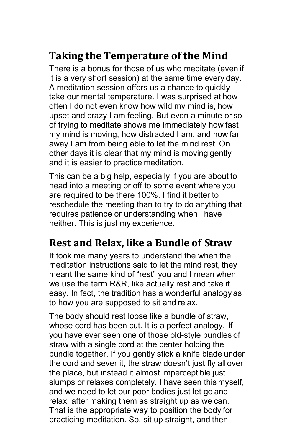## <span id="page-13-0"></span>**Taking the Temperature of the Mind**

There is a bonus for those of us who meditate (even if it is a very short session) at the same time every day. A meditation session offers us a chance to quickly take our mental temperature. I was surprised at how often I do not even know how wild my mind is, how upset and crazy I am feeling. But even a minute or so of trying to meditate shows me immediately how fast my mind is moving, how distracted I am, and how far away I am from being able to let the mind rest. On other days it is clear that my mind is moving gently and it is easier to practice meditation.

This can be a big help, especially if you are about to head into a meeting or off to some event where you are required to be there 100%. I find it better to reschedule the meeting than to try to do anything that requires patience or understanding when I have neither. This is just my experience.

## <span id="page-13-1"></span>**Rest and Relax, like a Bundle of Straw**

It took me many years to understand the when the meditation instructions said to let the mind rest, they meant the same kind of "rest" you and I mean when we use the term R&R, like actually rest and take it easy. In fact, the tradition has a wonderful analogy as to how you are supposed to sit and relax.

The body should rest loose like a bundle of straw, whose cord has been cut. It is a perfect analogy. If you have ever seen one of those old-style bundles of straw with a single cord at the center holding the bundle together. If you gently stick a knife blade under the cord and sever it, the straw doesn't just fly all over the place, but instead it almost imperceptible just slumps or relaxes completely. I have seen this myself, and we need to let our poor bodies just let go and relax, after making them as straight up as we can. That is the appropriate way to position the body for practicing meditation. So, sit up straight, and then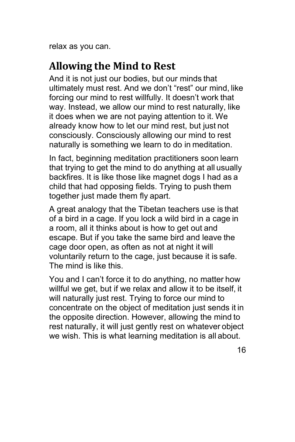relax as you can.

## <span id="page-14-0"></span>**Allowing the Mind to Rest**

And it is not just our bodies, but our minds that ultimately must rest. And we don't "rest" our mind, like forcing our mind to rest willfully. It doesn't work that way. Instead, we allow our mind to rest naturally, like it does when we are not paying attention to it. We already know how to let our mind rest, but just not consciously. Consciously allowing our mind to rest naturally is something we learn to do in meditation.

In fact, beginning meditation practitioners soon learn that trying to get the mind to do anything at all usually backfires. It is like those like magnet dogs I had as a child that had opposing fields. Trying to push them together just made them fly apart.

A great analogy that the Tibetan teachers use is that of a bird in a cage. If you lock a wild bird in a cage in a room, all it thinks about is how to get out and escape. But if you take the same bird and leave the cage door open, as often as not at night it will voluntarily return to the cage, just because it is safe. The mind is like this.

You and I can't force it to do anything, no matter how willful we get, but if we relax and allow it to be itself, it will naturally just rest. Trying to force our mind to concentrate on the object of meditation just sends it in the opposite direction. However, allowing the mind to rest naturally, it will just gently rest on whatever object we wish. This is what learning meditation is all about.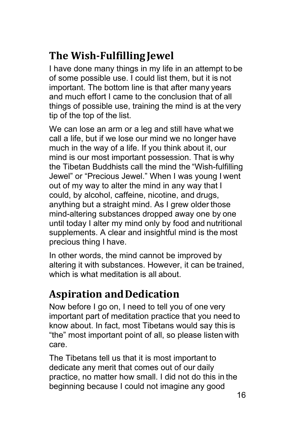## <span id="page-15-0"></span>**The Wish-FulfillingJewel**

I have done many things in my life in an attempt to be of some possible use. I could list them, but it is not important. The bottom line is that after many years and much effort I came to the conclusion that of all things of possible use, training the mind is at the very tip of the top of the list.

We can lose an arm or a leg and still have what we call a life, but if we lose our mind we no longer have much in the way of a life. If you think about it, our mind is our most important possession. That is why the Tibetan Buddhists call the mind the "Wish-fulfilling Jewel" or "Precious Jewel." When I was young I went out of my way to alter the mind in any way that I could, by alcohol, caffeine, nicotine, and drugs, anything but a straight mind. As I grew older those mind-altering substances dropped away one by one until today I alter my mind only by food and nutritional supplements. A clear and insightful mind is the most precious thing I have.

In other words, the mind cannot be improved by altering it with substances. However, it can be trained, which is what meditation is all about.

## <span id="page-15-1"></span>**Aspiration andDedication**

Now before I go on, I need to tell you of one very important part of meditation practice that you need to know about. In fact, most Tibetans would say this is "the" most important point of all, so please listen with care.

The Tibetans tell us that it is most important to dedicate any merit that comes out of our daily practice, no matter how small. I did not do this in the beginning because I could not imagine any good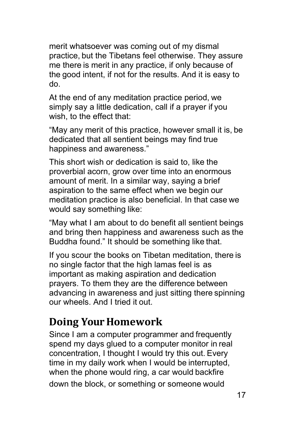merit whatsoever was coming out of my dismal practice, but the Tibetans feel otherwise. They assure me there is merit in any practice, if only because of the good intent, if not for the results. And it is easy to do.

At the end of any meditation practice period, we simply say a little dedication, call if a prayer if you wish, to the effect that:

"May any merit of this practice, however small it is, be dedicated that all sentient beings may find true happiness and awareness."

This short wish or dedication is said to, like the proverbial acorn, grow over time into an enormous amount of merit. In a similar way, saying a brief aspiration to the same effect when we begin our meditation practice is also beneficial. In that case we would say something like:

"May what I am about to do benefit all sentient beings and bring then happiness and awareness such as the Buddha found." It should be something like that.

If you scour the books on Tibetan meditation, there is no single factor that the high lamas feel is as important as making aspiration and dedication prayers. To them they are the difference between advancing in awareness and just sitting there spinning our wheels. And I tried it out.

## <span id="page-16-0"></span>**Doing Your Homework**

Since I am a computer programmer and frequently spend my days glued to a computer monitor in real concentration, I thought I would try this out. Every time in my daily work when I would be interrupted, when the phone would ring, a car would backfire down the block, or something or someone would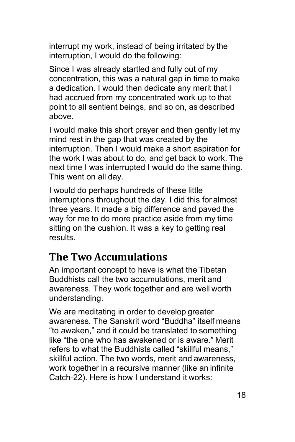interrupt my work, instead of being irritated by the interruption, I would do the following:

Since I was already startled and fully out of my concentration, this was a natural gap in time to make a dedication. I would then dedicate any merit that I had accrued from my concentrated work up to that point to all sentient beings, and so on, as described above.

I would make this short prayer and then gently let my mind rest in the gap that was created by the interruption. Then I would make a short aspiration for the work I was about to do, and get back to work. The next time I was interrupted I would do the same thing. This went on all day.

I would do perhaps hundreds of these little interruptions throughout the day. I did this for almost three years. It made a big difference and paved the way for me to do more practice aside from my time sitting on the cushion. It was a key to getting real results.

#### <span id="page-17-0"></span>**The Two Accumulations**

An important concept to have is what the Tibetan Buddhists call the two accumulations, merit and awareness. They work together and are well worth understanding.

We are meditating in order to develop greater awareness. The Sanskrit word "Buddha" itself means "to awaken," and it could be translated to something like "the one who has awakened or is aware." Merit refers to what the Buddhists called "skillful means," skillful action. The two words, merit and awareness, work together in a recursive manner (like an infinite Catch-22). Here is how I understand it works: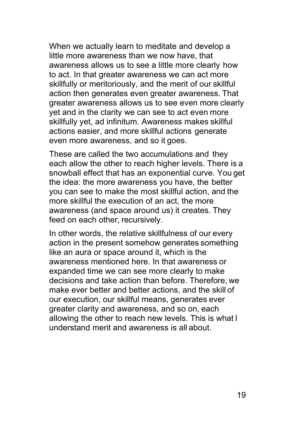When we actually learn to meditate and develop a little more awareness than we now have, that awareness allows us to see a little more clearly how to act. In that greater awareness we can act more skillfully or meritoriously, and the merit of our skillful action then generates even greater awareness. That greater awareness allows us to see even more clearly yet and in the clarity we can see to act even more skillfully yet, ad infinitum. Awareness makes skillful actions easier, and more skillful actions generate even more awareness, and so it goes.

These are called the two accumulations and they each allow the other to reach higher levels. There is a snowball effect that has an exponential curve. You get the idea: the more awareness you have, the better you can see to make the most skillful action, and the more skillful the execution of an act, the more awareness (and space around us) it creates. They feed on each other, recursively.

In other words, the relative skillfulness of our every action in the present somehow generates something like an aura or space around it, which is the awareness mentioned here. In that awareness or expanded time we can see more clearly to make decisions and take action than before. Therefore, we make ever better and better actions, and the skill of our execution, our skillful means, generates ever greater clarity and awareness, and so on, each allowing the other to reach new levels. This is what I understand merit and awareness is all about.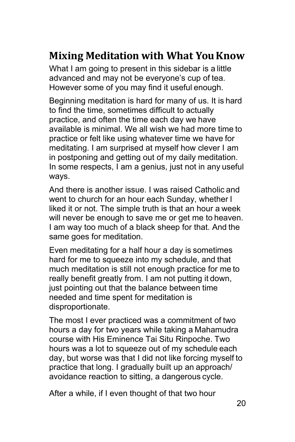## <span id="page-19-0"></span>**Mixing Meditation with What You Know**

What I am going to present in this sidebar is a little advanced and may not be everyone's cup of tea. However some of you may find it useful enough.

Beginning meditation is hard for many of us. It is hard to find the time, sometimes difficult to actually practice, and often the time each day we have available is minimal. We all wish we had more time to practice or felt like using whatever time we have for meditating. I am surprised at myself how clever I am in postponing and getting out of my daily meditation. In some respects, I am a genius, just not in any useful ways.

And there is another issue. I was raised Catholic and went to church for an hour each Sunday, whether I liked it or not. The simple truth is that an hour a week will never be enough to save me or get me to heaven. I am way too much of a black sheep for that. And the same goes for meditation.

Even meditating for a half hour a day is sometimes hard for me to squeeze into my schedule, and that much meditation is still not enough practice for me to really benefit greatly from. I am not putting it down, just pointing out that the balance between time needed and time spent for meditation is disproportionate.

The most I ever practiced was a commitment of two hours a day for two years while taking a Mahamudra course with His Eminence Tai Situ Rinpoche. Two hours was a lot to squeeze out of my schedule each day, but worse was that I did not like forcing myself to practice that long. I gradually built up an approach/ avoidance reaction to sitting, a dangerous cycle.

After a while, if I even thought of that two hour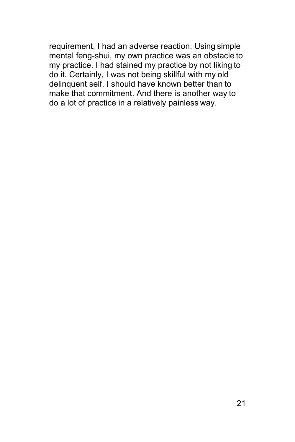requirement, I had an adverse reaction. Using simple mental feng-shui, my own practice was an obstacle to my practice. I had stained my practice by not liking to do it. Certainly, I was not being skillful with my old delinquent self. I should have known better than to make that commitment. And there is another way to do a lot of practice in a relatively painless way.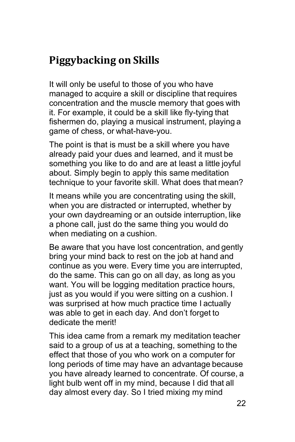## <span id="page-21-0"></span>**Piggybacking on Skills**

It will only be useful to those of you who have managed to acquire a skill or discipline that requires concentration and the muscle memory that goes with it. For example, it could be a skill like fly-tying that fishermen do, playing a musical instrument, playing a game of chess, or what-have-you.

The point is that is must be a skill where you have already paid your dues and learned, and it must be something you like to do and are at least a little joyful about. Simply begin to apply this same meditation technique to your favorite skill. What does that mean?

It means while you are concentrating using the skill, when you are distracted or interrupted, whether by your own daydreaming or an outside interruption, like a phone call, just do the same thing you would do when mediating on a cushion.

Be aware that you have lost concentration, and gently bring your mind back to rest on the job at hand and continue as you were. Every time you are interrupted, do the same. This can go on all day, as long as you want. You will be logging meditation practice hours, just as you would if you were sitting on a cushion. I was surprised at how much practice time I actually was able to get in each day. And don't forget to dedicate the merit!

This idea came from a remark my meditation teacher said to a group of us at a teaching, something to the effect that those of you who work on a computer for long periods of time may have an advantage because you have already learned to concentrate. Of course, a light bulb went off in my mind, because I did that all day almost every day. So I tried mixing my mind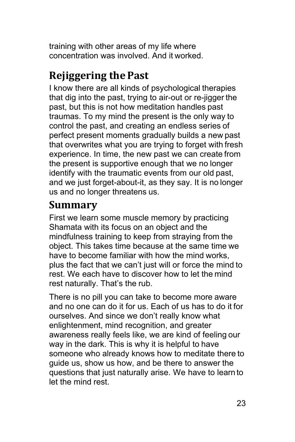training with other areas of my life where concentration was involved. And it worked.

## <span id="page-22-0"></span>**Rejiggering thePast**

I know there are all kinds of psychological therapies that dig into the past, trying to air-out or re-jigger the past, but this is not how meditation handles past traumas. To my mind the present is the only way to control the past, and creating an endless series of perfect present moments gradually builds a new past that overwrites what you are trying to forget with fresh experience. In time, the new past we can create from the present is supportive enough that we no longer identify with the traumatic events from our old past, and we just forget-about-it, as they say. It is no longer us and no longer threatens us.

### <span id="page-22-1"></span>**Summary**

First we learn some muscle memory by practicing Shamata with its focus on an object and the mindfulness training to keep from straying from the object. This takes time because at the same time we have to become familiar with how the mind works, plus the fact that we can't just will or force the mind to rest. We each have to discover how to let the mind rest naturally. That's the rub.

There is no pill you can take to become more aware and no one can do it for us. Each of us has to do it for ourselves. And since we don't really know what enlightenment, mind recognition, and greater awareness really feels like, we are kind of feeling our way in the dark. This is why it is helpful to have someone who already knows how to meditate there to guide us, show us how, and be there to answer the questions that just naturally arise. We have to learn to let the mind rest.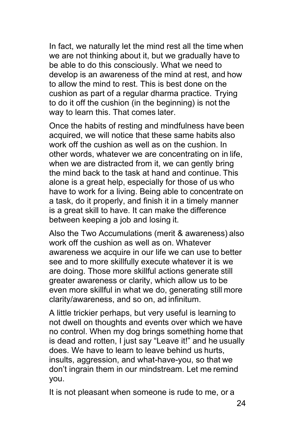In fact, we naturally let the mind rest all the time when we are not thinking about it, but we gradually have to be able to do this consciously. What we need to develop is an awareness of the mind at rest, and how to allow the mind to rest. This is best done on the cushion as part of a regular dharma practice. Trying to do it off the cushion (in the beginning) is not the way to learn this. That comes later.

Once the habits of resting and mindfulness have been acquired, we will notice that these same habits also work off the cushion as well as on the cushion. In other words, whatever we are concentrating on in life, when we are distracted from it, we can gently bring the mind back to the task at hand and continue. This alone is a great help, especially for those of us who have to work for a living. Being able to concentrate on a task, do it properly, and finish it in a timely manner is a great skill to have. It can make the difference between keeping a job and losing it.

Also the Two Accumulations (merit & awareness) also work off the cushion as well as on. Whatever awareness we acquire in our life we can use to better see and to more skillfully execute whatever it is we are doing. Those more skillful actions generate still greater awareness or clarity, which allow us to be even more skillful in what we do, generating still more clarity/awareness, and so on, ad infinitum.

A little trickier perhaps, but very useful is learning to not dwell on thoughts and events over which we have no control. When my dog brings something home that is dead and rotten, I just say "Leave it!" and he usually does. We have to learn to leave behind us hurts, insults, aggression, and what-have-you, so that we don't ingrain them in our mindstream. Let me remind you.

It is not pleasant when someone is rude to me, or a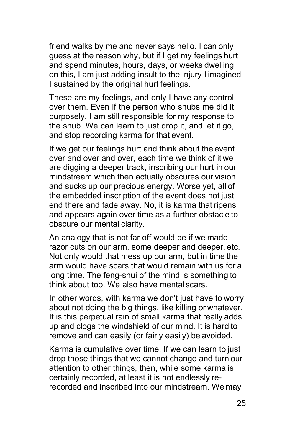friend walks by me and never says hello. I can only guess at the reason why, but if I get my feelings hurt and spend minutes, hours, days, or weeks dwelling on this, I am just adding insult to the injury I imagined I sustained by the original hurt feelings.

These are my feelings, and only I have any control over them. Even if the person who snubs me did it purposely, I am still responsible for my response to the snub. We can learn to just drop it, and let it go, and stop recording karma for that event.

If we get our feelings hurt and think about the event over and over and over, each time we think of it we are digging a deeper track, inscribing our hurt in our mindstream which then actually obscures our vision and sucks up our precious energy. Worse yet, all of the embedded inscription of the event does not just end there and fade away. No, it is karma that ripens and appears again over time as a further obstacle to obscure our mental clarity.

An analogy that is not far off would be if we made razor cuts on our arm, some deeper and deeper, etc. Not only would that mess up our arm, but in time the arm would have scars that would remain with us for a long time. The feng-shui of the mind is something to think about too. We also have mental scars.

In other words, with karma we don't just have to worry about not doing the big things, like killing or whatever. It is this perpetual rain of small karma that really adds up and clogs the windshield of our mind. It is hard to remove and can easily (or fairly easily) be avoided.

Karma is cumulative over time. If we can learn to just drop those things that we cannot change and turn our attention to other things, then, while some karma is certainly recorded, at least it is not endlessly rerecorded and inscribed into our mindstream. We may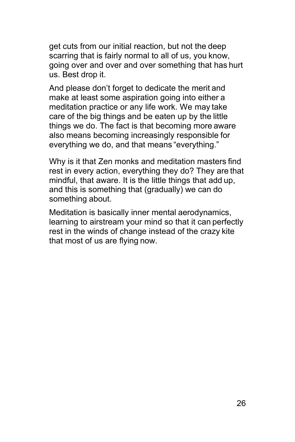get cuts from our initial reaction, but not the deep scarring that is fairly normal to all of us, you know, going over and over and over something that has hurt us. Best drop it.

And please don't forget to dedicate the merit and make at least some aspiration going into either a meditation practice or any life work. We may take care of the big things and be eaten up by the little things we do. The fact is that becoming more aware also means becoming increasingly responsible for everything we do, and that means "everything."

Why is it that Zen monks and meditation masters find rest in every action, everything they do? They are that mindful, that aware. It is the little things that add up, and this is something that (gradually) we can do something about.

Meditation is basically inner mental aerodynamics, learning to airstream your mind so that it can perfectly rest in the winds of change instead of the crazy kite that most of us are flying now.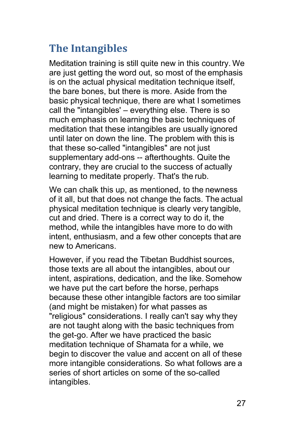## <span id="page-26-0"></span>**The Intangibles**

Meditation training is still quite new in this country. We are just getting the word out, so most of the emphasis is on the actual physical meditation technique itself, the bare bones, but there is more. Aside from the basic physical technique, there are what I sometimes call the "intangibles' – everything else. There is so much emphasis on learning the basic techniques of meditation that these intangibles are usually ignored until later on down the line. The problem with this is that these so-called "intangibles" are not just supplementary add-ons -- afterthoughts. Quite the contrary, they are crucial to the success of actually learning to meditate properly. That's the rub.

We can chalk this up, as mentioned, to the newness of it all, but that does not change the facts. The actual physical meditation technique is clearly very tangible, cut and dried. There is a correct way to do it, the method, while the intangibles have more to do with intent, enthusiasm, and a few other concepts that are new to Americans.

However, if you read the Tibetan Buddhist sources, those texts are all about the intangibles, about our intent, aspirations, dedication, and the like. Somehow we have put the cart before the horse, perhaps because these other intangible factors are too similar (and might be mistaken) for what passes as "religious" considerations. I really can't say why they are not taught along with the basic techniques from the get-go. After we have practiced the basic meditation technique of Shamata for a while, we begin to discover the value and accent on all of these more intangible considerations. So what follows are a series of short articles on some of the so-called intangibles.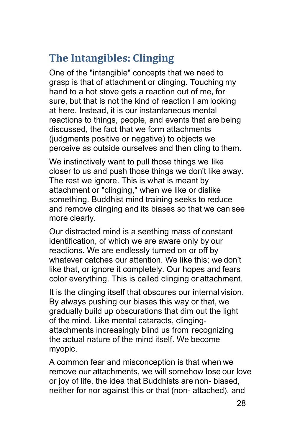## <span id="page-27-0"></span>**The Intangibles: Clinging**

One of the "intangible" concepts that we need to grasp is that of attachment or clinging. Touching my hand to a hot stove gets a reaction out of me, for sure, but that is not the kind of reaction I am looking at here. Instead, it is our instantaneous mental reactions to things, people, and events that are being discussed, the fact that we form attachments (judgments positive or negative) to objects we perceive as outside ourselves and then cling to them.

We instinctively want to pull those things we like closer to us and push those things we don't like away. The rest we ignore. This is what is meant by attachment or "clinging," when we like or dislike something. Buddhist mind training seeks to reduce and remove clinging and its biases so that we can see more clearly.

Our distracted mind is a seething mass of constant identification, of which we are aware only by our reactions. We are endlessly turned on or off by whatever catches our attention. We like this; we don't like that, or ignore it completely. Our hopes and fears color everything. This is called clinging or attachment.

It is the clinging itself that obscures our internal vision. By always pushing our biases this way or that, we gradually build up obscurations that dim out the light of the mind. Like mental cataracts, clingingattachments increasingly blind us from recognizing the actual nature of the mind itself. We become myopic.

A common fear and misconception is that when we remove our attachments, we will somehow lose our love or joy of life, the idea that Buddhists are non- biased, neither for nor against this or that (non- attached), and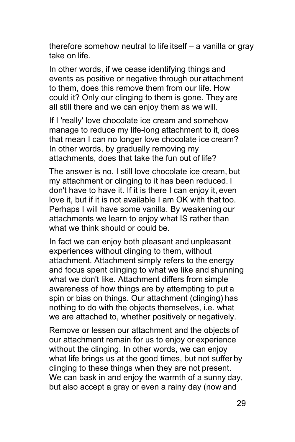therefore somehow neutral to life itself – a vanilla or gray take on life.

In other words, if we cease identifying things and events as positive or negative through our attachment to them, does this remove them from our life. How could it? Only our clinging to them is gone. They are all still there and we can enjoy them as we will.

If I 'really' love chocolate ice cream and somehow manage to reduce my life-long attachment to it, does that mean I can no longer love chocolate ice cream? In other words, by gradually removing my attachments, does that take the fun out of life?

The answer is no. I still love chocolate ice cream, but my attachment or clinging to it has been reduced. I don't have to have it. If it is there I can enjoy it, even love it, but if it is not available I am OK with that too. Perhaps I will have some vanilla. By weakening our attachments we learn to enjoy what IS rather than what we think should or could be.

In fact we can enjoy both pleasant and unpleasant experiences without clinging to them, without attachment. Attachment simply refers to the energy and focus spent clinging to what we like and shunning what we don't like. Attachment differs from simple awareness of how things are by attempting to put a spin or bias on things. Our attachment (clinging) has nothing to do with the objects themselves, i.e. what we are attached to, whether positively or negatively.

Remove or lessen our attachment and the objects of our attachment remain for us to enjoy or experience without the clinging. In other words, we can enjoy what life brings us at the good times, but not suffer by clinging to these things when they are not present. We can bask in and enjoy the warmth of a sunny day, but also accept a gray or even a rainy day (now and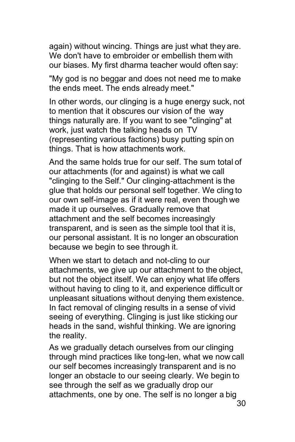again) without wincing. Things are just what they are. We don't have to embroider or embellish them with our biases. My first dharma teacher would often say:

"My god is no beggar and does not need me to make the ends meet. The ends already meet."

In other words, our clinging is a huge energy suck, not to mention that it obscures our vision of the way things naturally are. If you want to see "clinging" at work, just watch the talking heads on TV (representing various factions) busy putting spin on things. That is how attachments work.

And the same holds true for our self. The sum total of our attachments (for and against) is what we call "clinging to the Self." Our clinging-attachment is the glue that holds our personal self together. We cling to our own self-image as if it were real, even though we made it up ourselves. Gradually remove that attachment and the self becomes increasingly transparent, and is seen as the simple tool that it is, our personal assistant. It is no longer an obscuration because we begin to see through it.

When we start to detach and not-cling to our attachments, we give up our attachment to the object, but not the object itself. We can enjoy what life offers without having to cling to it, and experience difficult or unpleasant situations without denying them existence. In fact removal of clinging results in a sense of vivid seeing of everything. Clinging is just like sticking our heads in the sand, wishful thinking. We are ignoring the reality.

As we gradually detach ourselves from our clinging through mind practices like tong-len, what we now call our self becomes increasingly transparent and is no longer an obstacle to our seeing clearly. We begin to see through the self as we gradually drop our attachments, one by one. The self is no longer a big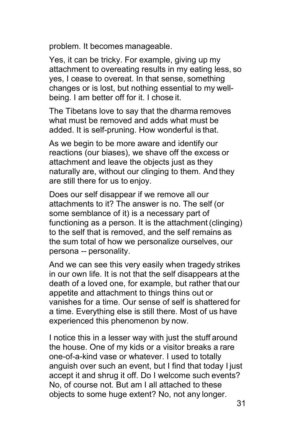problem. It becomes manageable.

Yes, it can be tricky. For example, giving up my attachment to overeating results in my eating less, so yes, I cease to overeat. In that sense, something changes or is lost, but nothing essential to my wellbeing. I am better off for it. I chose it.

The Tibetans love to say that the dharma removes what must be removed and adds what must be added. It is self-pruning. How wonderful is that.

As we begin to be more aware and identify our reactions (our biases), we shave off the excess or attachment and leave the objects just as they naturally are, without our clinging to them. And they are still there for us to enjoy.

Does our self disappear if we remove all our attachments to it? The answer is no. The self (or some semblance of it) is a necessary part of functioning as a person. It is the attachment (clinging) to the self that is removed, and the self remains as the sum total of how we personalize ourselves, our persona -- personality.

And we can see this very easily when tragedy strikes in our own life. It is not that the self disappears at the death of a loved one, for example, but rather that our appetite and attachment to things thins out or vanishes for a time. Our sense of self is shattered for a time. Everything else is still there. Most of us have experienced this phenomenon by now.

I notice this in a lesser way with just the stuff around the house. One of my kids or a visitor breaks a rare one-of-a-kind vase or whatever. I used to totally anguish over such an event, but I find that today I just accept it and shrug it off. Do I welcome such events? No, of course not. But am I all attached to these objects to some huge extent? No, not any longer.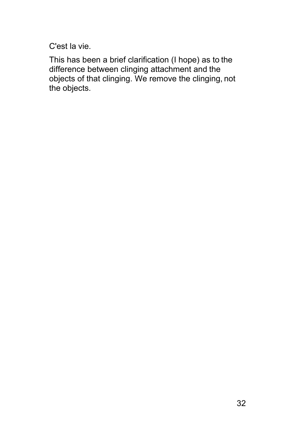C'est la vie.

This has been a brief clarification (I hope) as to the difference between clinging attachment and the objects of that clinging. We remove the clinging, not the objects.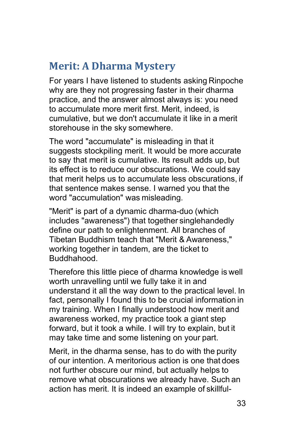## <span id="page-32-0"></span>**Merit: A Dharma Mystery**

For years I have listened to students asking Rinpoche why are they not progressing faster in their dharma practice, and the answer almost always is: you need to accumulate more merit first. Merit, indeed, is cumulative, but we don't accumulate it like in a merit storehouse in the sky somewhere.

The word "accumulate" is misleading in that it suggests stockpiling merit. It would be more accurate to say that merit is cumulative. Its result adds up, but its effect is to reduce our obscurations. We could say that merit helps us to accumulate less obscurations, if that sentence makes sense. I warned you that the word "accumulation" was misleading.

"Merit" is part of a dynamic dharma-duo (which includes "awareness") that together singlehandedly define our path to enlightenment. All branches of Tibetan Buddhism teach that "Merit & Awareness," working together in tandem, are the ticket to Buddhahood.

Therefore this little piece of dharma knowledge is well worth unravelling until we fully take it in and understand it all the way down to the practical level. In fact, personally I found this to be crucial information in my training. When I finally understood how merit and awareness worked, my practice took a giant step forward, but it took a while. I will try to explain, but it may take time and some listening on your part.

Merit, in the dharma sense, has to do with the purity of our intention. A meritorious action is one that does not further obscure our mind, but actually helps to remove what obscurations we already have. Such an action has merit. It is indeed an example of skillful-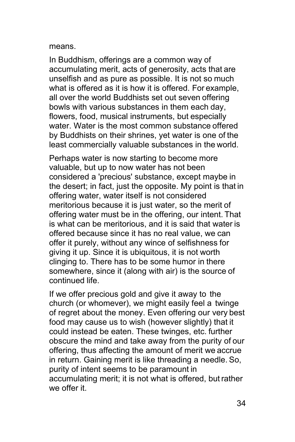#### means.

In Buddhism, offerings are a common way of accumulating merit, acts of generosity, acts that are unselfish and as pure as possible. It is not so much what is offered as it is how it is offered. For example, all over the world Buddhists set out seven offering bowls with various substances in them each day, flowers, food, musical instruments, but especially water. Water is the most common substance offered by Buddhists on their shrines, yet water is one of the least commercially valuable substances in the world.

Perhaps water is now starting to become more valuable, but up to now water has not been considered a 'precious' substance, except maybe in the desert; in fact, just the opposite. My point is that in offering water, water itself is not considered meritorious because it is just water, so the merit of offering water must be in the offering, our intent. That is what can be meritorious, and it is said that water is offered because since it has no real value, we can offer it purely, without any wince of selfishness for giving it up. Since it is ubiquitous, it is not worth clinging to. There has to be some humor in there somewhere, since it (along with air) is the source of continued life.

If we offer precious gold and give it away to the church (or whomever), we might easily feel a twinge of regret about the money. Even offering our very best food may cause us to wish (however slightly) that it could instead be eaten. These twinges, etc. further obscure the mind and take away from the purity of our offering, thus affecting the amount of merit we accrue in return. Gaining merit is like threading a needle. So, purity of intent seems to be paramount in accumulating merit; it is not what is offered, but rather we offer it.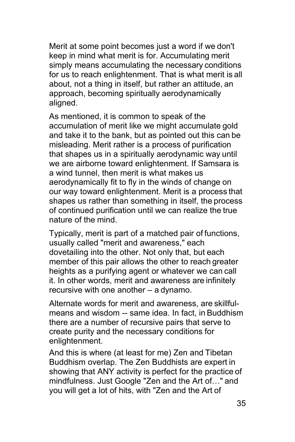Merit at some point becomes just a word if we don't keep in mind what merit is for. Accumulating merit simply means accumulating the necessary conditions for us to reach enlightenment. That is what merit is all about, not a thing in itself, but rather an attitude, an approach, becoming spiritually aerodynamically aligned.

As mentioned, it is common to speak of the accumulation of merit like we might accumulate gold and take it to the bank, but as pointed out this can be misleading. Merit rather is a process of purification that shapes us in a spiritually aerodynamic way until we are airborne toward enlightenment. If Samsara is a wind tunnel, then merit is what makes us aerodynamically fit to fly in the winds of change on our way toward enlightenment. Merit is a process that shapes us rather than something in itself, the process of continued purification until we can realize the true nature of the mind.

Typically, merit is part of a matched pair of functions, usually called "merit and awareness," each dovetailing into the other. Not only that, but each member of this pair allows the other to reach greater heights as a purifying agent or whatever we can call it. In other words, merit and awareness are infinitely recursive with one another – a dynamo.

Alternate words for merit and awareness, are skillfulmeans and wisdom -- same idea. In fact, in Buddhism there are a number of recursive pairs that serve to create purity and the necessary conditions for enlightenment.

And this is where (at least for me) Zen and Tibetan Buddhism overlap. The Zen Buddhists are expert in showing that ANY activity is perfect for the practice of mindfulness. Just Google "Zen and the Art of…" and you will get a lot of hits, with "Zen and the Art of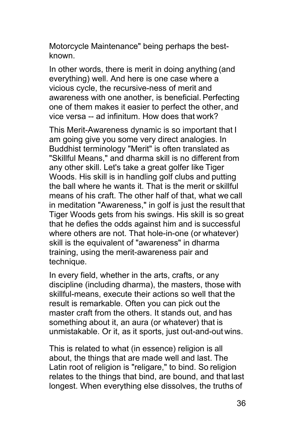Motorcycle Maintenance" being perhaps the bestknown.

In other words, there is merit in doing anything (and everything) well. And here is one case where a vicious cycle, the recursive-ness of merit and awareness with one another, is beneficial. Perfecting one of them makes it easier to perfect the other, and vice versa -- ad infinitum. How does that work?

This Merit-Awareness dynamic is so important that I am going give you some very direct analogies. In Buddhist terminology "Merit" is often translated as "Skillful Means," and dharma skill is no different from any other skill. Let's take a great golfer like Tiger Woods. His skill is in handling golf clubs and putting the ball where he wants it. That is the merit or skillful means of his craft. The other half of that, what we call in meditation "Awareness," in golf is just the result that Tiger Woods gets from his swings. His skill is so great that he defies the odds against him and is successful where others are not. That hole-in-one (or whatever) skill is the equivalent of "awareness" in dharma training, using the merit-awareness pair and technique.

In every field, whether in the arts, crafts, or any discipline (including dharma), the masters, those with skillful-means, execute their actions so well that the result is remarkable. Often you can pick out the master craft from the others. It stands out, and has something about it, an aura (or whatever) that is unmistakable. Or it, as it sports, just out-and-out wins.

This is related to what (in essence) religion is all about, the things that are made well and last. The Latin root of religion is "religare," to bind. So religion relates to the things that bind, are bound, and that last longest. When everything else dissolves, the truths of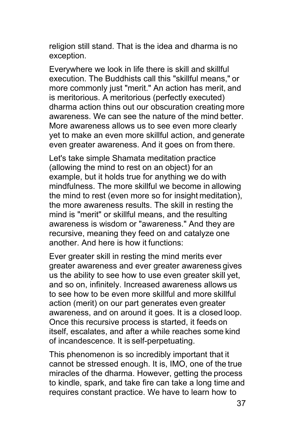religion still stand. That is the idea and dharma is no exception.

Everywhere we look in life there is skill and skillful execution. The Buddhists call this "skillful means," or more commonly just "merit." An action has merit, and is meritorious. A meritorious (perfectly executed) dharma action thins out our obscuration creating more awareness. We can see the nature of the mind better. More awareness allows us to see even more clearly yet to make an even more skillful action, and generate even greater awareness. And it goes on from there.

Let's take simple Shamata meditation practice (allowing the mind to rest on an object) for an example, but it holds true for anything we do with mindfulness. The more skillful we become in allowing the mind to rest (even more so for insight meditation), the more awareness results. The skill in resting the mind is "merit" or skillful means, and the resulting awareness is wisdom or "awareness." And they are recursive, meaning they feed on and catalyze one another. And here is how it functions:

Ever greater skill in resting the mind merits ever greater awareness and ever greater awareness gives us the ability to see how to use even greater skill yet, and so on, infinitely. Increased awareness allows us to see how to be even more skillful and more skillful action (merit) on our part generates even greater awareness, and on around it goes. It is a closed loop. Once this recursive process is started, it feeds on itself, escalates, and after a while reaches some kind of incandescence. It is self-perpetuating.

This phenomenon is so incredibly important that it cannot be stressed enough. It is, IMO, one of the true miracles of the dharma. However, getting the process to kindle, spark, and take fire can take a long time and requires constant practice. We have to learn how to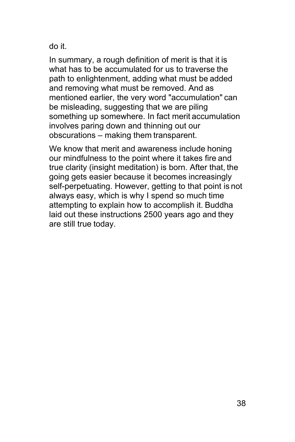do it.

In summary, a rough definition of merit is that it is what has to be accumulated for us to traverse the path to enlightenment, adding what must be added and removing what must be removed. And as mentioned earlier, the very word "accumulation" can be misleading, suggesting that we are piling something up somewhere. In fact merit accumulation involves paring down and thinning out our obscurations – making them transparent.

We know that merit and awareness include honing our mindfulness to the point where it takes fire and true clarity (insight meditation) is born. After that, the going gets easier because it becomes increasingly self-perpetuating. However, getting to that point is not always easy, which is why I spend so much time attempting to explain how to accomplish it. Buddha laid out these instructions 2500 years ago and they are still true today.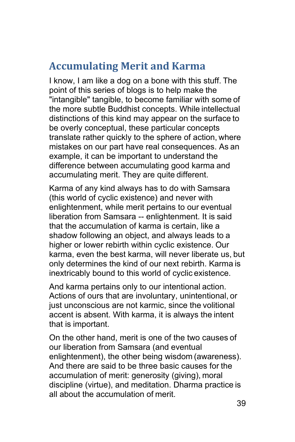### <span id="page-38-0"></span>**Accumulating Merit and Karma**

I know, I am like a dog on a bone with this stuff. The point of this series of blogs is to help make the "intangible" tangible, to become familiar with some of the more subtle Buddhist concepts. While intellectual distinctions of this kind may appear on the surface to be overly conceptual, these particular concepts translate rather quickly to the sphere of action, where mistakes on our part have real consequences. As an example, it can be important to understand the difference between accumulating good karma and accumulating merit. They are quite different.

Karma of any kind always has to do with Samsara (this world of cyclic existence) and never with enlightenment, while merit pertains to our eventual liberation from Samsara -- enlightenment. It is said that the accumulation of karma is certain, like a shadow following an object, and always leads to a higher or lower rebirth within cyclic existence. Our karma, even the best karma, will never liberate us, but only determines the kind of our next rebirth. Karma is inextricably bound to this world of cyclic existence.

And karma pertains only to our intentional action. Actions of ours that are involuntary, unintentional, or just unconscious are not karmic, since the volitional accent is absent. With karma, it is always the intent that is important.

On the other hand, merit is one of the two causes of our liberation from Samsara (and eventual enlightenment), the other being wisdom (awareness). And there are said to be three basic causes for the accumulation of merit: generosity (giving), moral discipline (virtue), and meditation. Dharma practice is all about the accumulation of merit.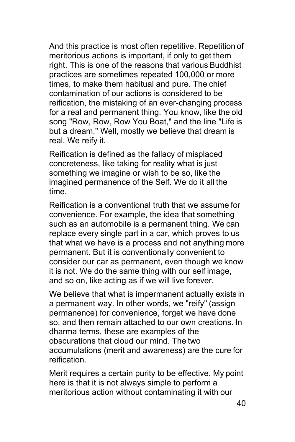And this practice is most often repetitive. Repetition of meritorious actions is important, if only to get them right. This is one of the reasons that various Buddhist practices are sometimes repeated 100,000 or more times, to make them habitual and pure. The chief contamination of our actions is considered to be reification, the mistaking of an ever-changing process for a real and permanent thing. You know, like the old song "Row, Row, Row You Boat," and the line "Life is but a dream." Well, mostly we believe that dream is real. We reify it.

Reification is defined as the fallacy of misplaced concreteness, like taking for reality what is just something we imagine or wish to be so, like the imagined permanence of the Self. We do it all the time.

Reification is a conventional truth that we assume for convenience. For example, the idea that something such as an automobile is a permanent thing. We can replace every single part in a car, which proves to us that what we have is a process and not anything more permanent. But it is conventionally convenient to consider our car as permanent, even though we know it is not. We do the same thing with our self image, and so on, like acting as if we will live forever.

We believe that what is impermanent actually exists in a permanent way. In other words, we "reify" (assign permanence) for convenience, forget we have done so, and then remain attached to our own creations. In dharma terms, these are examples of the obscurations that cloud our mind. The two accumulations (merit and awareness) are the cure for reification.

Merit requires a certain purity to be effective. My point here is that it is not always simple to perform a meritorious action without contaminating it with our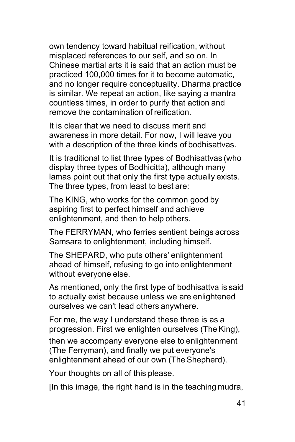own tendency toward habitual reification, without misplaced references to our self, and so on. In Chinese martial arts it is said that an action must be practiced 100,000 times for it to become automatic, and no longer require conceptuality. Dharma practice is similar. We repeat an action, like saying a mantra countless times, in order to purify that action and remove the contamination of reification.

It is clear that we need to discuss merit and awareness in more detail. For now, I will leave you with a description of the three kinds of bodhisattvas.

It is traditional to list three types of Bodhisattvas (who display three types of Bodhicitta), although many lamas point out that only the first type actually exists. The three types, from least to best are:

The KING, who works for the common good by aspiring first to perfect himself and achieve enlightenment, and then to help others.

The FERRYMAN, who ferries sentient beings across Samsara to enlightenment, including himself.

The SHEPARD, who puts others' enlightenment ahead of himself, refusing to go into enlightenment without everyone else.

As mentioned, only the first type of bodhisattva is said to actually exist because unless we are enlightened ourselves we can't lead others anywhere.

For me, the way I understand these three is as a progression. First we enlighten ourselves (The King),

then we accompany everyone else to enlightenment (The Ferryman), and finally we put everyone's enlightenment ahead of our own (The Shepherd).

Your thoughts on all of this please.

[In this image, the right hand is in the teaching mudra,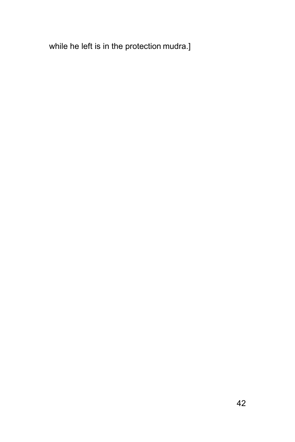while he left is in the protection mudra.]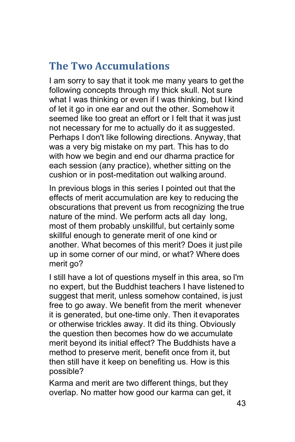## <span id="page-42-0"></span>**The Two Accumulations**

I am sorry to say that it took me many years to get the following concepts through my thick skull. Not sure what I was thinking or even if I was thinking, but I kind of let it go in one ear and out the other. Somehow it seemed like too great an effort or I felt that it was just not necessary for me to actually do it as suggested. Perhaps I don't like following directions. Anyway, that was a very big mistake on my part. This has to do with how we begin and end our dharma practice for each session (any practice), whether sitting on the cushion or in post-meditation out walking around.

In previous blogs in this series I pointed out that the effects of merit accumulation are key to reducing the obscurations that prevent us from recognizing the true nature of the mind. We perform acts all day long, most of them probably unskillful, but certainly some skillful enough to generate merit of one kind or another. What becomes of this merit? Does it just pile up in some corner of our mind, or what? Where does merit go?

I still have a lot of questions myself in this area, so I'm no expert, but the Buddhist teachers I have listened to suggest that merit, unless somehow contained, is just free to go away. We benefit from the merit whenever it is generated, but one-time only. Then it evaporates or otherwise trickles away. It did its thing. Obviously the question then becomes how do we accumulate merit beyond its initial effect? The Buddhists have a method to preserve merit, benefit once from it, but then still have it keep on benefiting us. How is this possible?

Karma and merit are two different things, but they overlap. No matter how good our karma can get, it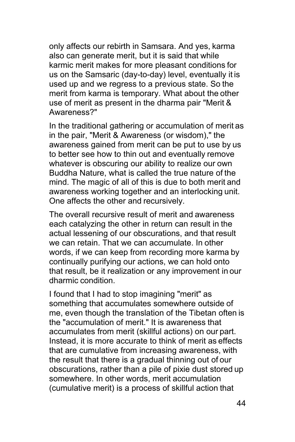only affects our rebirth in Samsara. And yes, karma also can generate merit, but it is said that while karmic merit makes for more pleasant conditions for us on the Samsaric (day-to-day) level, eventually it is used up and we regress to a previous state. So the merit from karma is temporary. What about the other use of merit as present in the dharma pair "Merit & Awareness?"

In the traditional gathering or accumulation of merit as in the pair, "Merit & Awareness (or wisdom)," the awareness gained from merit can be put to use by us to better see how to thin out and eventually remove whatever is obscuring our ability to realize our own Buddha Nature, what is called the true nature of the mind. The magic of all of this is due to both merit and awareness working together and an interlocking unit. One affects the other and recursively.

The overall recursive result of merit and awareness each catalyzing the other in return can result in the actual lessening of our obscurations, and that result we can retain. That we can accumulate. In other words, if we can keep from recording more karma by continually purifying our actions, we can hold onto that result, be it realization or any improvement in our dharmic condition.

I found that I had to stop imagining "merit" as something that accumulates somewhere outside of me, even though the translation of the Tibetan often is the "accumulation of merit." It is awareness that accumulates from merit (skillful actions) on our part. Instead, it is more accurate to think of merit as effects that are cumulative from increasing awareness, with the result that there is a gradual thinning out of our obscurations, rather than a pile of pixie dust stored up somewhere. In other words, merit accumulation (cumulative merit) is a process of skillful action that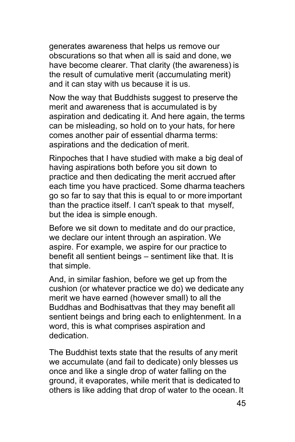generates awareness that helps us remove our obscurations so that when all is said and done, we have become clearer. That clarity (the awareness) is the result of cumulative merit (accumulating merit) and it can stay with us because it is us.

Now the way that Buddhists suggest to preserve the merit and awareness that is accumulated is by aspiration and dedicating it. And here again, the terms can be misleading, so hold on to your hats, for here comes another pair of essential dharma terms: aspirations and the dedication of merit.

Rinpoches that I have studied with make a big deal of having aspirations both before you sit down to practice and then dedicating the merit accrued after each time you have practiced. Some dharma teachers go so far to say that this is equal to or more important than the practice itself. I can't speak to that myself, but the idea is simple enough.

Before we sit down to meditate and do our practice, we declare our intent through an aspiration. We aspire. For example, we aspire for our practice to benefit all sentient beings – sentiment like that. It is that simple.

And, in similar fashion, before we get up from the cushion (or whatever practice we do) we dedicate any merit we have earned (however small) to all the Buddhas and Bodhisattvas that they may benefit all sentient beings and bring each to enlightenment. In a word, this is what comprises aspiration and dedication.

The Buddhist texts state that the results of any merit we accumulate (and fail to dedicate) only blesses us once and like a single drop of water falling on the ground, it evaporates, while merit that is dedicated to others is like adding that drop of water to the ocean. It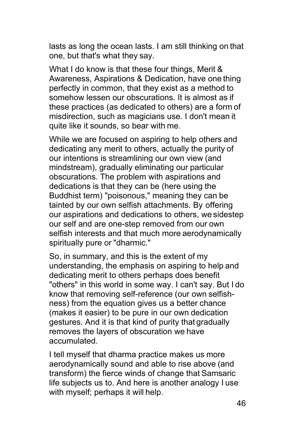lasts as long the ocean lasts. I am still thinking on that one, but that's what they say.

What I do know is that these four things, Merit & Awareness, Aspirations & Dedication, have one thing perfectly in common, that they exist as a method to somehow lessen our obscurations. It is almost as if these practices (as dedicated to others) are a form of misdirection, such as magicians use. I don't mean it quite like it sounds, so bear with me.

While we are focused on aspiring to help others and dedicating any merit to others, actually the purity of our intentions is streamlining our own view (and mindstream), gradually eliminating our particular obscurations. The problem with aspirations and dedications is that they can be (here using the Buddhist term) "poisonous," meaning they can be tainted by our own selfish attachments. By offering our aspirations and dedications to others, we sidestep our self and are one-step removed from our own selfish interests and that much more aerodynamically spiritually pure or "dharmic."

So, in summary, and this is the extent of my understanding, the emphasis on aspiring to help and dedicating merit to others perhaps does benefit "others" in this world in some way. I can't say. But I do know that removing self-reference (our own selfishness) from the equation gives us a better chance (makes it easier) to be pure in our own dedication gestures. And it is that kind of purity that gradually removes the layers of obscuration we have accumulated.

I tell myself that dharma practice makes us more aerodynamically sound and able to rise above (and transform) the fierce winds of change that Samsaric life subjects us to. And here is another analogy I use with myself; perhaps it will help.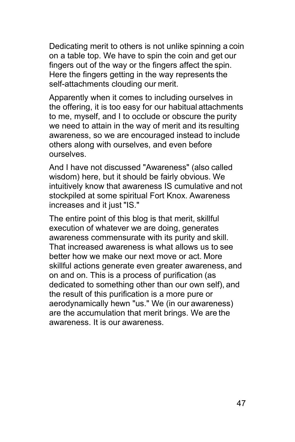Dedicating merit to others is not unlike spinning a coin on a table top. We have to spin the coin and get our fingers out of the way or the fingers affect the spin. Here the fingers getting in the way represents the self-attachments clouding our merit.

Apparently when it comes to including ourselves in the offering, it is too easy for our habitual attachments to me, myself, and I to occlude or obscure the purity we need to attain in the way of merit and its resulting awareness, so we are encouraged instead to include others along with ourselves, and even before ourselves.

And I have not discussed "Awareness" (also called wisdom) here, but it should be fairly obvious. We intuitively know that awareness IS cumulative and not stockpiled at some spiritual Fort Knox. Awareness increases and it just "IS."

The entire point of this blog is that merit, skillful execution of whatever we are doing, generates awareness commensurate with its purity and skill. That increased awareness is what allows us to see better how we make our next move or act. More skillful actions generate even greater awareness, and on and on. This is a process of purification (as dedicated to something other than our own self), and the result of this purification is a more pure or aerodynamically hewn "us." We (in our awareness) are the accumulation that merit brings. We are the awareness. It is our awareness.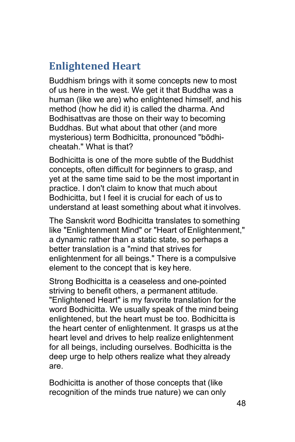## <span id="page-47-0"></span>**Enlightened Heart**

Buddhism brings with it some concepts new to most of us here in the west. We get it that Buddha was a human (like we are) who enlightened himself, and his method (how he did it) is called the dharma. And Bodhisattvas are those on their way to becoming Buddhas. But what about that other (and more mysterious) term Bodhicitta, pronounced "bōdhicheatah." What is that?

Bodhicitta is one of the more subtle of the Buddhist concepts, often difficult for beginners to grasp, and yet at the same time said to be the most important in practice. I don't claim to know that much about Bodhicitta, but I feel it is crucial for each of us to understand at least something about what it involves.

The Sanskrit word Bodhicitta translates to something like "Enlightenment Mind" or "Heart of Enlightenment," a dynamic rather than a static state, so perhaps a better translation is a "mind that strives for enlightenment for all beings." There is a compulsive element to the concept that is key here.

Strong Bodhicitta is a ceaseless and one-pointed striving to benefit others, a permanent attitude. "Enlightened Heart" is my favorite translation for the word Bodhicitta. We usually speak of the mind being enlightened, but the heart must be too. Bodhicitta is the heart center of enlightenment. It grasps us at the heart level and drives to help realize enlightenment for all beings, including ourselves. Bodhicitta is the deep urge to help others realize what they already are.

Bodhicitta is another of those concepts that (like recognition of the minds true nature) we can only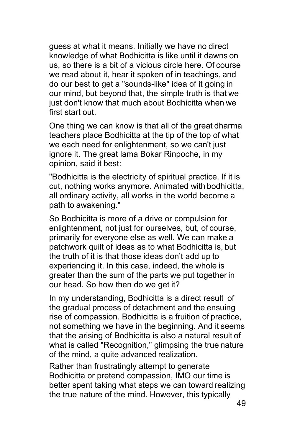guess at what it means. Initially we have no direct knowledge of what Bodhicitta is like until it dawns on us, so there is a bit of a vicious circle here. Of course we read about it, hear it spoken of in teachings, and do our best to get a "sounds-like" idea of it going in our mind, but beyond that, the simple truth is that we just don't know that much about Bodhicitta when we first start out.

One thing we can know is that all of the great dharma teachers place Bodhicitta at the tip of the top of what we each need for enlightenment, so we can't just ignore it. The great lama Bokar Rinpoche, in my opinion, said it best:

"Bodhicitta is the electricity of spiritual practice. If it is cut, nothing works anymore. Animated with bodhicitta, all ordinary activity, all works in the world become a path to awakening."

So Bodhicitta is more of a drive or compulsion for enlightenment, not just for ourselves, but, of course, primarily for everyone else as well. We can make a patchwork quilt of ideas as to what Bodhicitta is, but the truth of it is that those ideas don't add up to experiencing it. In this case, indeed, the whole is greater than the sum of the parts we put together in our head. So how then do we get it?

In my understanding, Bodhicitta is a direct result of the gradual process of detachment and the ensuing rise of compassion. Bodhicitta is a fruition of practice, not something we have in the beginning. And it seems that the arising of Bodhicitta is also a natural result of what is called "Recognition," glimpsing the true nature of the mind, a quite advanced realization.

Rather than frustratingly attempt to generate Bodhicitta or pretend compassion, IMO our time is better spent taking what steps we can toward realizing the true nature of the mind. However, this typically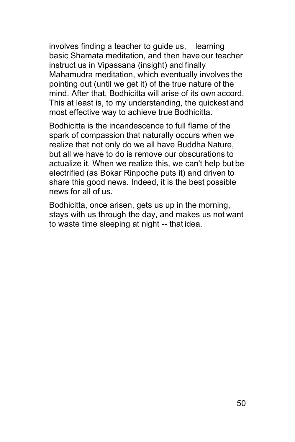involves finding a teacher to guide us, learning basic Shamata meditation, and then have our teacher instruct us in Vipassana (insight) and finally Mahamudra meditation, which eventually involves the pointing out (until we get it) of the true nature of the mind. After that, Bodhicitta will arise of its own accord. This at least is, to my understanding, the quickest and most effective way to achieve true Bodhicitta.

Bodhicitta is the incandescence to full flame of the spark of compassion that naturally occurs when we realize that not only do we all have Buddha Nature, but all we have to do is remove our obscurations to actualize it. When we realize this, we can't help but be electrified (as Bokar Rinpoche puts it) and driven to share this good news. Indeed, it is the best possible news for all of us.

Bodhicitta, once arisen, gets us up in the morning, stays with us through the day, and makes us not want to waste time sleeping at night -- that idea.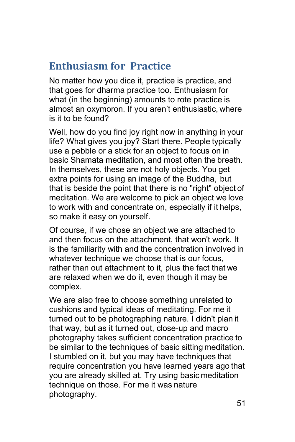## <span id="page-50-0"></span>**Enthusiasm for Practice**

No matter how you dice it, practice is practice, and that goes for dharma practice too. Enthusiasm for what (in the beginning) amounts to rote practice is almost an oxymoron. If you aren't enthusiastic, where is it to be found?

Well, how do you find joy right now in anything in your life? What gives you joy? Start there. People typically use a pebble or a stick for an object to focus on in basic Shamata meditation, and most often the breath. In themselves, these are not holy objects. You get extra points for using an image of the Buddha, but that is beside the point that there is no "right" object of meditation. We are welcome to pick an object we love to work with and concentrate on, especially if it helps, so make it easy on yourself.

Of course, if we chose an object we are attached to and then focus on the attachment, that won't work. It is the familiarity with and the concentration involved in whatever technique we choose that is our focus, rather than out attachment to it, plus the fact that we are relaxed when we do it, even though it may be complex.

We are also free to choose something unrelated to cushions and typical ideas of meditating. For me it turned out to be photographing nature. I didn't plan it that way, but as it turned out, close-up and macro photography takes sufficient concentration practice to be similar to the techniques of basic sitting meditation. I stumbled on it, but you may have techniques that require concentration you have learned years ago that you are already skilled at. Try using basic meditation technique on those. For me it was nature photography.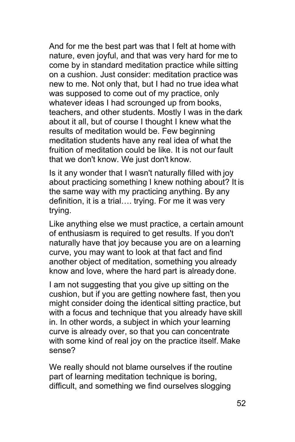And for me the best part was that I felt at home with nature, even joyful, and that was very hard for me to come by in standard meditation practice while sitting on a cushion. Just consider: meditation practice was new to me. Not only that, but I had no true idea what was supposed to come out of my practice, only whatever ideas I had scrounged up from books, teachers, and other students. Mostly I was in the dark about it all, but of course I thought I knew what the results of meditation would be. Few beginning meditation students have any real idea of what the fruition of meditation could be like. It is not our fault that we don't know. We just don't know.

Is it any wonder that I wasn't naturally filled with joy about practicing something I knew nothing about? It is the same way with my practicing anything. By any definition, it is a trial…. trying. For me it was very trying.

Like anything else we must practice, a certain amount of enthusiasm is required to get results. If you don't naturally have that joy because you are on a learning curve, you may want to look at that fact and find another object of meditation, something you already know and love, where the hard part is already done.

I am not suggesting that you give up sitting on the cushion, but if you are getting nowhere fast, then you might consider doing the identical sitting practice, but with a focus and technique that you already have skill in. In other words, a subject in which your learning curve is already over, so that you can concentrate with some kind of real joy on the practice itself. Make sense?

We really should not blame ourselves if the routine part of learning meditation technique is boring, difficult, and something we find ourselves slogging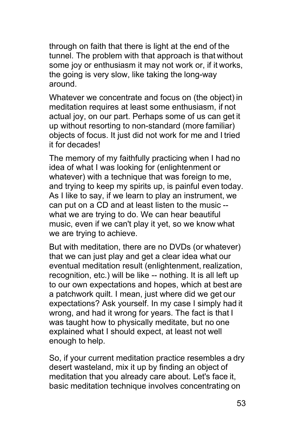through on faith that there is light at the end of the tunnel. The problem with that approach is that without some joy or enthusiasm it may not work or, if it works, the going is very slow, like taking the long-way around.

Whatever we concentrate and focus on (the object) in meditation requires at least some enthusiasm, if not actual joy, on our part. Perhaps some of us can get it up without resorting to non-standard (more familiar) objects of focus. It just did not work for me and I tried it for decades!

The memory of my faithfully practicing when I had no idea of what I was looking for (enlightenment or whatever) with a technique that was foreign to me, and trying to keep my spirits up, is painful even today. As I like to say, if we learn to play an instrument, we can put on a CD and at least listen to the music - what we are trying to do. We can hear beautiful music, even if we can't play it yet, so we know what we are trying to achieve.

But with meditation, there are no DVDs (or whatever) that we can just play and get a clear idea what our eventual meditation result (enlightenment, realization, recognition, etc.) will be like -- nothing. It is all left up to our own expectations and hopes, which at best are a patchwork quilt. I mean, just where did we get our expectations? Ask yourself. In my case I simply had it wrong, and had it wrong for years. The fact is that I was taught how to physically meditate, but no one explained what I should expect, at least not well enough to help.

So, if your current meditation practice resembles a dry desert wasteland, mix it up by finding an object of meditation that you already care about. Let's face it, basic meditation technique involves concentrating on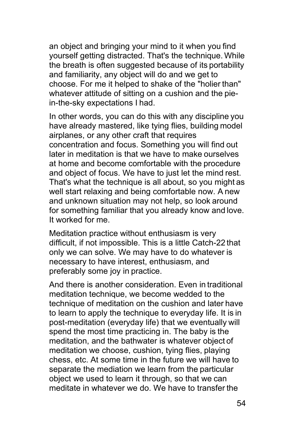an object and bringing your mind to it when you find yourself getting distracted. That's the technique. While the breath is often suggested because of its portability and familiarity, any object will do and we get to choose. For me it helped to shake of the "holier than" whatever attitude of sitting on a cushion and the piein-the-sky expectations I had.

In other words, you can do this with any discipline you have already mastered, like tying flies, building model airplanes, or any other craft that requires concentration and focus. Something you will find out later in meditation is that we have to make ourselves at home and become comfortable with the procedure and object of focus. We have to just let the mind rest. That's what the technique is all about, so you might as well start relaxing and being comfortable now. A new and unknown situation may not help, so look around for something familiar that you already know and love. It worked for me.

Meditation practice without enthusiasm is very difficult, if not impossible. This is a little Catch-22 that only we can solve. We may have to do whatever is necessary to have interest, enthusiasm, and preferably some joy in practice.

And there is another consideration. Even in traditional meditation technique, we become wedded to the technique of meditation on the cushion and later have to learn to apply the technique to everyday life. It is in post-meditation (everyday life) that we eventually will spend the most time practicing in. The baby is the meditation, and the bathwater is whatever object of meditation we choose, cushion, tying flies, playing chess, etc. At some time in the future we will have to separate the mediation we learn from the particular object we used to learn it through, so that we can meditate in whatever we do. We have to transfer the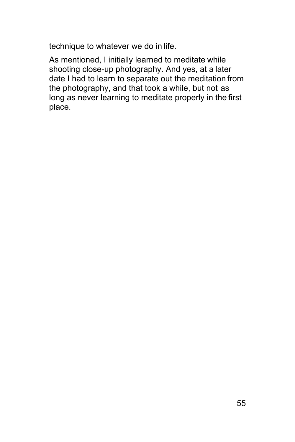technique to whatever we do in life.

As mentioned, I initially learned to meditate while shooting close-up photography. And yes, at a later date I had to learn to separate out the meditation from the photography, and that took a while, but not as long as never learning to meditate properly in the first place.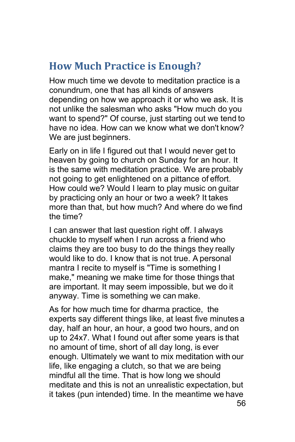## <span id="page-55-0"></span>**How Much Practice is Enough?**

How much time we devote to meditation practice is a conundrum, one that has all kinds of answers depending on how we approach it or who we ask. It is not unlike the salesman who asks "How much do you want to spend?" Of course, just starting out we tend to have no idea. How can we know what we don't know? We are just beginners.

Early on in life I figured out that I would never get to heaven by going to church on Sunday for an hour. It is the same with meditation practice. We are probably not going to get enlightened on a pittance of effort. How could we? Would I learn to play music on guitar by practicing only an hour or two a week? It takes more than that, but how much? And where do we find the time?

I can answer that last question right off. I always chuckle to myself when I run across a friend who claims they are too busy to do the things they really would like to do. I know that is not true. A personal mantra I recite to myself is "Time is something I make," meaning we make time for those things that are important. It may seem impossible, but we do it anyway. Time is something we can make.

As for how much time for dharma practice, the experts say different things like, at least five minutes a day, half an hour, an hour, a good two hours, and on up to 24x7. What I found out after some years is that no amount of time, short of all day long, is ever enough. Ultimately we want to mix meditation with our life, like engaging a clutch, so that we are being mindful all the time. That is how long we should meditate and this is not an unrealistic expectation, but it takes (pun intended) time. In the meantime we have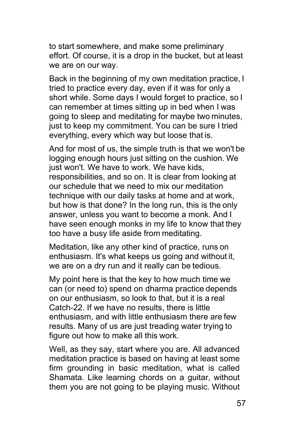to start somewhere, and make some preliminary effort. Of course, it is a drop in the bucket, but at least we are on our way.

Back in the beginning of my own meditation practice, I tried to practice every day, even if it was for only a short while. Some days I would forget to practice, so I can remember at times sitting up in bed when I was going to sleep and meditating for maybe two minutes, just to keep my commitment. You can be sure I tried everything, every which way but loose that is.

And for most of us, the simple truth is that we won't be logging enough hours just sitting on the cushion. We just won't. We have to work. We have kids, responsibilities, and so on. It is clear from looking at our schedule that we need to mix our meditation technique with our daily tasks at home and at work, but how is that done? In the long run, this is the only answer, unless you want to become a monk. And I have seen enough monks in my life to know that they too have a busy life aside from meditating.

Meditation, like any other kind of practice, runs on enthusiasm. It's what keeps us going and without it, we are on a dry run and it really can be tedious.

My point here is that the key to how much time we can (or need to) spend on dharma practice depends on our enthusiasm, so look to that, but it is a real Catch-22. If we have no results, there is little enthusiasm, and with little enthusiasm there are few results. Many of us are just treading water trying to figure out how to make all this work.

Well, as they say, start where you are. All advanced meditation practice is based on having at least some firm grounding in basic meditation, what is called Shamata. Like learning chords on a guitar, without them you are not going to be playing music. Without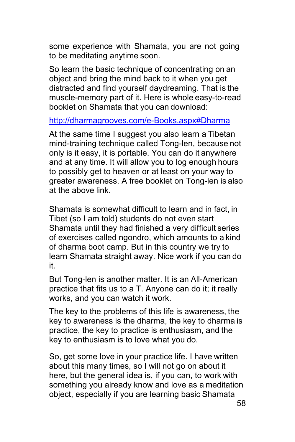some experience with Shamata, you are not going to be meditating anytime soon.

So learn the basic technique of concentrating on an object and bring the mind back to it when you get distracted and find yourself daydreaming. That is the muscle-memory part of it. Here is whole easy-to-read booklet on Shamata that you can download:

<http://dharmagrooves.com/e-Books.aspx#Dharma>

At the same time I suggest you also learn a Tibetan mind-training technique called Tong-len, because not only is it easy, it is portable. You can do it anywhere and at any time. It will allow you to log enough hours to possibly get to heaven or at least on your way to greater awareness. A free booklet on Tong-len is also at the above link.

Shamata is somewhat difficult to learn and in fact, in Tibet (so I am told) students do not even start Shamata until they had finished a very difficult series of exercises called ngondro, which amounts to a kind of dharma boot camp. But in this country we try to learn Shamata straight away. Nice work if you can do it.

But Tong-len is another matter. It is an All-American practice that fits us to a T. Anyone can do it; it really works, and you can watch it work.

The key to the problems of this life is awareness, the key to awareness is the dharma, the key to dharma is practice, the key to practice is enthusiasm, and the key to enthusiasm is to love what you do.

So, get some love in your practice life. I have written about this many times, so I will not go on about it here, but the general idea is, if you can, to work with something you already know and love as a meditation object, especially if you are learning basic Shamata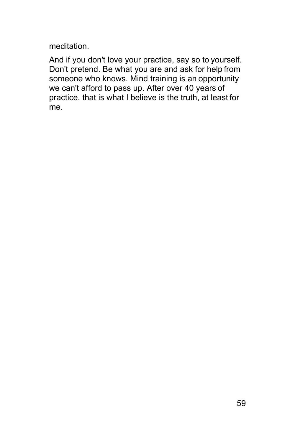meditation.

And if you don't love your practice, say so to yourself. Don't pretend. Be what you are and ask for help from someone who knows. Mind training is an opportunity we can't afford to pass up. After over 40 years of practice, that is what I believe is the truth, at least for me.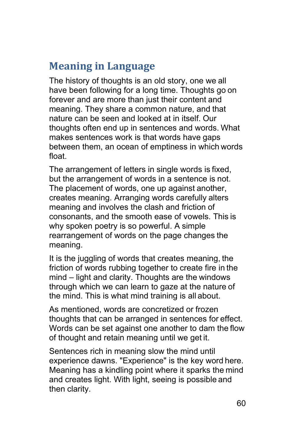## <span id="page-59-0"></span>**Meaning in Language**

The history of thoughts is an old story, one we all have been following for a long time. Thoughts go on forever and are more than just their content and meaning. They share a common nature, and that nature can be seen and looked at in itself. Our thoughts often end up in sentences and words. What makes sentences work is that words have gaps between them, an ocean of emptiness in which words float.

The arrangement of letters in single words is fixed, but the arrangement of words in a sentence is not. The placement of words, one up against another, creates meaning. Arranging words carefully alters meaning and involves the clash and friction of consonants, and the smooth ease of vowels. This is why spoken poetry is so powerful. A simple rearrangement of words on the page changes the meaning.

It is the juggling of words that creates meaning, the friction of words rubbing together to create fire in the mind – light and clarity. Thoughts are the windows through which we can learn to gaze at the nature of the mind. This is what mind training is all about.

As mentioned, words are concretized or frozen thoughts that can be arranged in sentences for effect. Words can be set against one another to dam the flow of thought and retain meaning until we get it.

Sentences rich in meaning slow the mind until experience dawns. "Experience" is the key word here. Meaning has a kindling point where it sparks the mind and creates light. With light, seeing is possible and then clarity.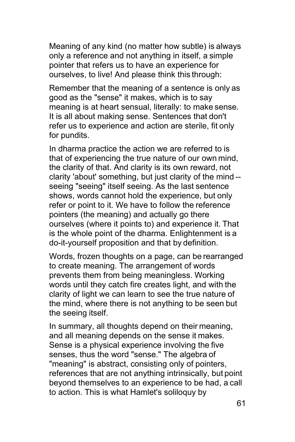Meaning of any kind (no matter how subtle) is always only a reference and not anything in itself, a simple pointer that refers us to have an experience for ourselves, to live! And please think this through:

Remember that the meaning of a sentence is only as good as the "sense" it makes, which is to say meaning is at heart sensual, literally: to make sense. It is all about making sense. Sentences that don't refer us to experience and action are sterile, fit only for pundits.

In dharma practice the action we are referred to is that of experiencing the true nature of our own mind, the clarity of that. And clarity is its own reward, not clarity 'about' something, but just clarity of the mind - seeing "seeing" itself seeing. As the last sentence shows, words cannot hold the experience, but only refer or point to it. We have to follow the reference pointers (the meaning) and actually go there ourselves (where it points to) and experience it. That is the whole point of the dharma. Enlightenment is a do-it-yourself proposition and that by definition.

Words, frozen thoughts on a page, can be rearranged to create meaning. The arrangement of words prevents them from being meaningless. Working words until they catch fire creates light, and with the clarity of light we can learn to see the true nature of the mind, where there is not anything to be seen but the seeing itself.

In summary, all thoughts depend on their meaning, and all meaning depends on the sense it makes. Sense is a physical experience involving the five senses, thus the word "sense." The algebra of "meaning" is abstract, consisting only of pointers, references that are not anything intrinsically, but point beyond themselves to an experience to be had, a call to action. This is what Hamlet's soliloquy by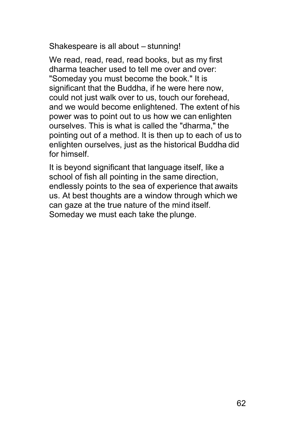Shakespeare is all about – stunning!

We read, read, read, read books, but as my first dharma teacher used to tell me over and over: "Someday you must become the book." It is significant that the Buddha, if he were here now, could not just walk over to us, touch our forehead, and we would become enlightened. The extent of his power was to point out to us how we can enlighten ourselves. This is what is called the "dharma," the pointing out of a method. It is then up to each of us to enlighten ourselves, just as the historical Buddha did for himself.

It is beyond significant that language itself, like a school of fish all pointing in the same direction, endlessly points to the sea of experience that awaits us. At best thoughts are a window through which we can gaze at the true nature of the mind itself. Someday we must each take the plunge.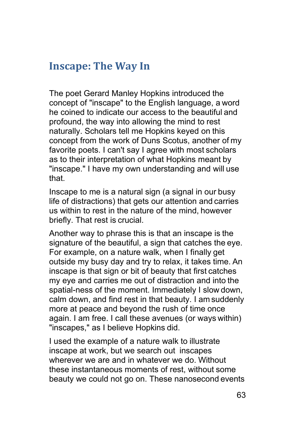#### <span id="page-62-0"></span>**Inscape: The Way In**

The poet Gerard Manley Hopkins introduced the concept of "inscape" to the English language, a word he coined to indicate our access to the beautiful and profound, the way into allowing the mind to rest naturally. Scholars tell me Hopkins keyed on this concept from the work of Duns Scotus, another of my favorite poets. I can't say I agree with most scholars as to their interpretation of what Hopkins meant by "inscape." I have my own understanding and will use that.

Inscape to me is a natural sign (a signal in our busy life of distractions) that gets our attention and carries us within to rest in the nature of the mind, however briefly. That rest is crucial.

Another way to phrase this is that an inscape is the signature of the beautiful, a sign that catches the eye. For example, on a nature walk, when I finally get outside my busy day and try to relax, it takes time. An inscape is that sign or bit of beauty that first catches my eye and carries me out of distraction and into the spatial-ness of the moment. Immediately I slow down, calm down, and find rest in that beauty. I am suddenly more at peace and beyond the rush of time once again. I am free. I call these avenues (or ways within) "inscapes," as I believe Hopkins did.

I used the example of a nature walk to illustrate inscape at work, but we search out inscapes wherever we are and in whatever we do. Without these instantaneous moments of rest, without some beauty we could not go on. These nanosecond events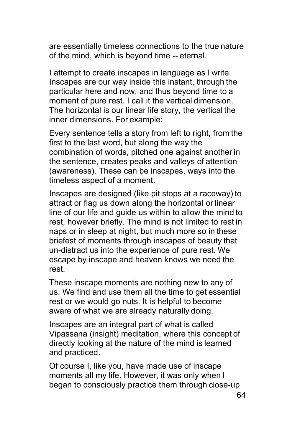are essentially timeless connections to the true nature of the mind, which is beyond time -- eternal.

I attempt to create inscapes in language as I write. Inscapes are our way inside this instant, through the particular here and now, and thus beyond time to a moment of pure rest. I call it the vertical dimension. The horizontal is our linear life story, the vertical the inner dimensions. For example:

Every sentence tells a story from left to right, from the first to the last word, but along the way the combination of words, pitched one against another in the sentence, creates peaks and valleys of attention (awareness). These can be inscapes, ways into the timeless aspect of a moment.

Inscapes are designed (like pit stops at a raceway) to attract or flag us down along the horizontal or linear line of our life and guide us within to allow the mind to rest, however briefly. The mind is not limited to rest in naps or in sleep at night, but much more so in these briefest of moments through inscapes of beauty that un-distract us into the experience of pure rest. We escape by inscape and heaven knows we need the rest.

These inscape moments are nothing new to any of us. We find and use them all the time to get essential rest or we would go nuts. It is helpful to become aware of what we are already naturally doing.

Inscapes are an integral part of what is called Vipassana (insight) meditation, where this concept of directly looking at the nature of the mind is learned and practiced.

Of course I, like you, have made use of inscape moments all my life. However, it was only when I began to consciously practice them through close-up